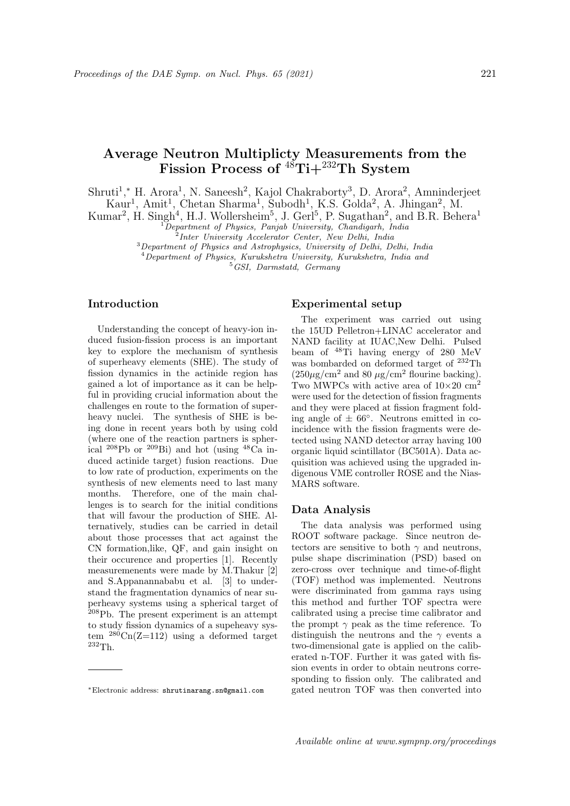# Average Neutron Multiplicty Measurements from the Fission Process of  $^{48}$ Ti+ $^{232}$ Th System

Shruti<sup>1</sup>,\* H. Arora<sup>1</sup>, N. Saneesh<sup>2</sup>, Kajol Chakraborty<sup>3</sup>, D. Arora<sup>2</sup>, Amninderjeet Kaur<sup>1</sup>, Amit<sup>1</sup>, Chetan Sharma<sup>1</sup>, Subodh<sup>1</sup>, K.S. Golda<sup>2</sup>, A. Jhingan<sup>2</sup>, M.

Kumar<sup>2</sup>, H. Singh<sup>4</sup>, H.J. Wollersheim<sup>5</sup>, J. Gerl<sup>5</sup>, P. Sugathan<sup>2</sup>, and B.R. Behera<sup>1</sup>

 ${}^{1}$ Department of Physics, Panjab University, Chandigarh, India

2 Inter University Accelerator Center, New Delhi, India

<sup>3</sup>Department of Physics and Astrophysics, University of Delhi, Delhi, India

<sup>4</sup>Department of Physics, Kurukshetra University, Kurukshetra, India and

 $5^{6}$ GSI, Darmstatd, Germany

# Introduction

Understanding the concept of heavy-ion induced fusion-fission process is an important key to explore the mechanism of synthesis of superheavy elements (SHE). The study of fission dynamics in the actinide region has gained a lot of importance as it can be helpful in providing crucial information about the challenges en route to the formation of superheavy nuclei. The synthesis of SHE is being done in recent years both by using cold (where one of the reaction partners is spherical  ${}^{208}Pb$  or  ${}^{209}Bi$ ) and hot (using  ${}^{48}Ca$  induced actinide target) fusion reactions. Due to low rate of production, experiments on the synthesis of new elements need to last many months. Therefore, one of the main challenges is to search for the initial conditions that will favour the production of SHE. Alternatively, studies can be carried in detail about those processes that act against the CN formation,like, QF, and gain insight on their occurence and properties [1]. Recently measuremenents were made by M.Thakur [2] and S.Appanannababu et al. [3] to understand the fragmentation dynamics of near superheavy systems using a spherical target of  $208Pb$ . The present experiment is an attempt to study fission dynamics of a supeheavy system  $^{280}$ Cn(Z=112) using a deformed target  $^{232}$ Th.

#### Experimental setup

The experiment was carried out using the 15UD Pelletron+LINAC accelerator and NAND facility at IUAC,New Delhi. Pulsed beam of <sup>48</sup>Ti having energy of 280 MeV was bombarded on deformed target of <sup>232</sup>Th  $(250\mu\text{g/cm}^2 \text{ and } 80 \mu\text{g/cm}^2 \text{ flourine backing}).$ Two MWPCs with active area of  $10\times20$  cm<sup>2</sup> were used for the detection of fission fragments and they were placed at fission fragment folding angle of  $\pm 66^{\circ}$ . Neutrons emitted in coincidence with the fission fragments were detected using NAND detector array having 100 organic liquid scintillator (BC501A). Data acquisition was achieved using the upgraded indigenous VME controller ROSE and the Nias-MARS software.

### Data Analysis

The data analysis was performed using ROOT software package. Since neutron detectors are sensitive to both  $\gamma$  and neutrons, pulse shape discrimination (PSD) based on zero-cross over technique and time-of-flight (TOF) method was implemented. Neutrons were discriminated from gamma rays using this method and further TOF spectra were calibrated using a precise time calibrator and the prompt  $\gamma$  peak as the time reference. To distinguish the neutrons and the  $\gamma$  events a two-dimensional gate is applied on the caliberated n-TOF. Further it was gated with fission events in order to obtain neutrons corresponding to fission only. The calibrated and gated neutron TOF was then converted into

<sup>∗</sup>Electronic address: shrutinarang.sn@gmail.com